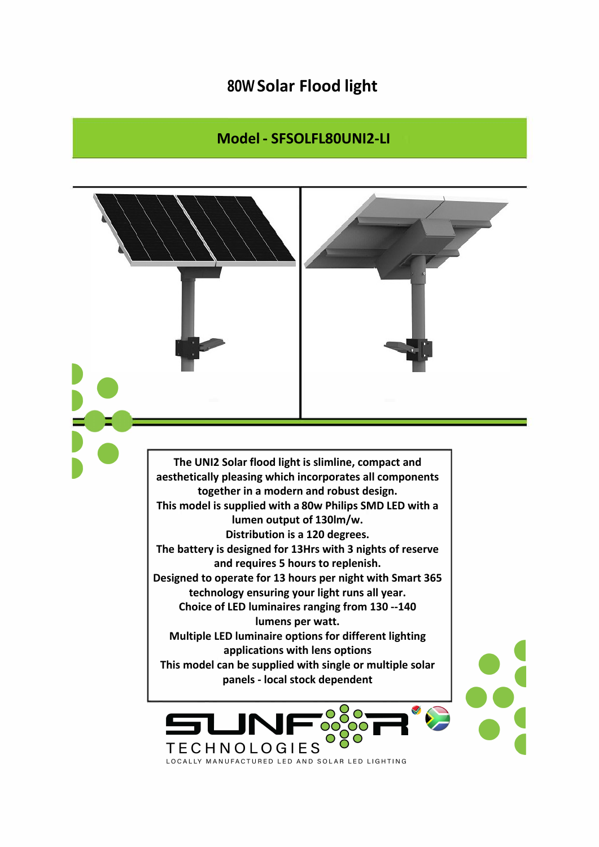## **80W Solar Flood light**

## **Model - SFSOLFL80UNI2-LI**

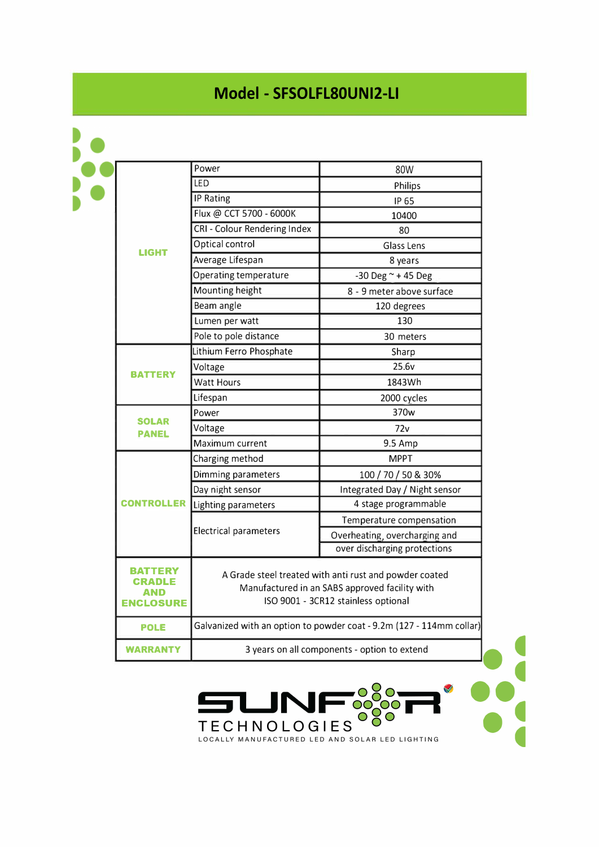## **Model - SFSOLFL80UNI2-LI**

| <b>LIGHT</b>                              | Power                                                                                                                                           | 80W                           |
|-------------------------------------------|-------------------------------------------------------------------------------------------------------------------------------------------------|-------------------------------|
|                                           | <b>LED</b>                                                                                                                                      | <b>Philips</b>                |
|                                           | <b>IP Rating</b>                                                                                                                                | IP 65                         |
|                                           | Flux @ CCT 5700 - 6000K                                                                                                                         | 10400                         |
|                                           | CRI - Colour Rendering Index                                                                                                                    | 80                            |
|                                           | Optical control                                                                                                                                 | <b>Glass Lens</b>             |
|                                           | Average Lifespan                                                                                                                                | 8 years                       |
|                                           | Operating temperature                                                                                                                           | -30 Deg ~ + 45 Deg            |
|                                           | Mounting height                                                                                                                                 | 8 - 9 meter above surface     |
|                                           | Beam angle                                                                                                                                      | 120 degrees                   |
|                                           | Lumen per watt                                                                                                                                  | 130                           |
|                                           | Pole to pole distance                                                                                                                           | 30 meters                     |
| <b>BATTERY</b>                            | Lithium Ferro Phosphate                                                                                                                         | Sharp                         |
|                                           | Voltage                                                                                                                                         | 25.6v                         |
|                                           | <b>Watt Hours</b>                                                                                                                               | 1843Wh                        |
|                                           | Lifespan                                                                                                                                        | 2000 cycles                   |
| <b>SOLAR</b><br><b>PANEL</b>              | Power                                                                                                                                           | 370w                          |
|                                           | Voltage                                                                                                                                         | 72v                           |
|                                           | Maximum current                                                                                                                                 | 9.5 Amp                       |
| <b>CONTROLLER</b>                         | Charging method                                                                                                                                 | <b>MPPT</b>                   |
|                                           | Dimming parameters                                                                                                                              | 100 / 70 / 50 & 30%           |
|                                           | Day night sensor                                                                                                                                | Integrated Day / Night sensor |
|                                           | Lighting parameters                                                                                                                             | 4 stage programmable          |
|                                           | <b>Electrical parameters</b>                                                                                                                    | Temperature compensation      |
|                                           |                                                                                                                                                 | Overheating, overcharging and |
|                                           |                                                                                                                                                 | over discharging protections  |
| TERY<br>CRADLE<br>AND<br><b>ENCLOSURE</b> | A Grade steel treated with anti rust and powder coated<br>Manufactured in an SABS approved facility with<br>ISO 9001 - 3CR12 stainless optional |                               |
| <b>POLE</b>                               | Galvanized with an option to powder coat - 9.2m (127 - 114mm collar)                                                                            |                               |
| <b>WARRANTY</b>                           | 3 years on all components - option to extend                                                                                                    |                               |

LJN

J

••• •• **t** TECHNOLOGIES OCO - -